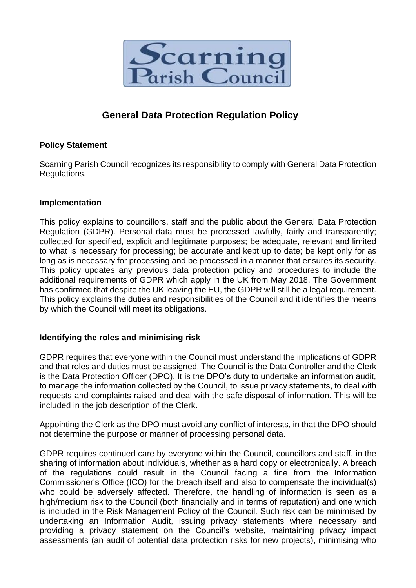

# **General Data Protection Regulation Policy**

## **Policy Statement**

Scarning Parish Council recognizes its responsibility to comply with General Data Protection Regulations.

## **Implementation**

This policy explains to councillors, staff and the public about the General Data Protection Regulation (GDPR). Personal data must be processed lawfully, fairly and transparently; collected for specified, explicit and legitimate purposes; be adequate, relevant and limited to what is necessary for processing; be accurate and kept up to date; be kept only for as long as is necessary for processing and be processed in a manner that ensures its security. This policy updates any previous data protection policy and procedures to include the additional requirements of GDPR which apply in the UK from May 2018. The Government has confirmed that despite the UK leaving the EU, the GDPR will still be a legal requirement. This policy explains the duties and responsibilities of the Council and it identifies the means by which the Council will meet its obligations.

## **Identifying the roles and minimising risk**

GDPR requires that everyone within the Council must understand the implications of GDPR and that roles and duties must be assigned. The Council is the Data Controller and the Clerk is the Data Protection Officer (DPO). It is the DPO's duty to undertake an information audit, to manage the information collected by the Council, to issue privacy statements, to deal with requests and complaints raised and deal with the safe disposal of information. This will be included in the job description of the Clerk.

Appointing the Clerk as the DPO must avoid any conflict of interests, in that the DPO should not determine the purpose or manner of processing personal data.

GDPR requires continued care by everyone within the Council, councillors and staff, in the sharing of information about individuals, whether as a hard copy or electronically. A breach of the regulations could result in the Council facing a fine from the Information Commissioner's Office (ICO) for the breach itself and also to compensate the individual(s) who could be adversely affected. Therefore, the handling of information is seen as a high/medium risk to the Council (both financially and in terms of reputation) and one which is included in the Risk Management Policy of the Council. Such risk can be minimised by undertaking an Information Audit, issuing privacy statements where necessary and providing a privacy statement on the Council's website, maintaining privacy impact assessments (an audit of potential data protection risks for new projects), minimising who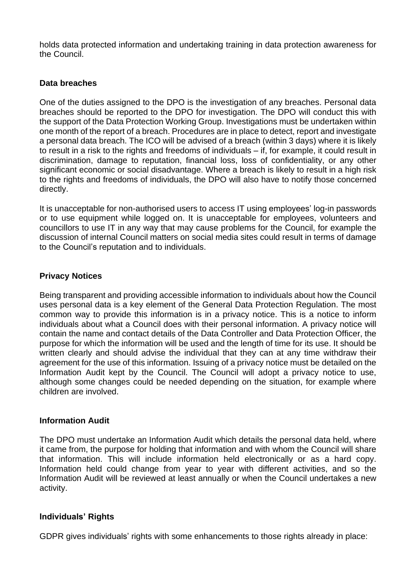holds data protected information and undertaking training in data protection awareness for the Council.

## **Data breaches**

One of the duties assigned to the DPO is the investigation of any breaches. Personal data breaches should be reported to the DPO for investigation. The DPO will conduct this with the support of the Data Protection Working Group. Investigations must be undertaken within one month of the report of a breach. Procedures are in place to detect, report and investigate a personal data breach. The ICO will be advised of a breach (within 3 days) where it is likely to result in a risk to the rights and freedoms of individuals – if, for example, it could result in discrimination, damage to reputation, financial loss, loss of confidentiality, or any other significant economic or social disadvantage. Where a breach is likely to result in a high risk to the rights and freedoms of individuals, the DPO will also have to notify those concerned directly.

It is unacceptable for non-authorised users to access IT using employees' log-in passwords or to use equipment while logged on. It is unacceptable for employees, volunteers and councillors to use IT in any way that may cause problems for the Council, for example the discussion of internal Council matters on social media sites could result in terms of damage to the Council's reputation and to individuals.

## **Privacy Notices**

Being transparent and providing accessible information to individuals about how the Council uses personal data is a key element of the General Data Protection Regulation. The most common way to provide this information is in a privacy notice. This is a notice to inform individuals about what a Council does with their personal information. A privacy notice will contain the name and contact details of the Data Controller and Data Protection Officer, the purpose for which the information will be used and the length of time for its use. It should be written clearly and should advise the individual that they can at any time withdraw their agreement for the use of this information. Issuing of a privacy notice must be detailed on the Information Audit kept by the Council. The Council will adopt a privacy notice to use, although some changes could be needed depending on the situation, for example where children are involved.

## **Information Audit**

The DPO must undertake an Information Audit which details the personal data held, where it came from, the purpose for holding that information and with whom the Council will share that information. This will include information held electronically or as a hard copy. Information held could change from year to year with different activities, and so the Information Audit will be reviewed at least annually or when the Council undertakes a new activity.

## **Individuals' Rights**

GDPR gives individuals' rights with some enhancements to those rights already in place: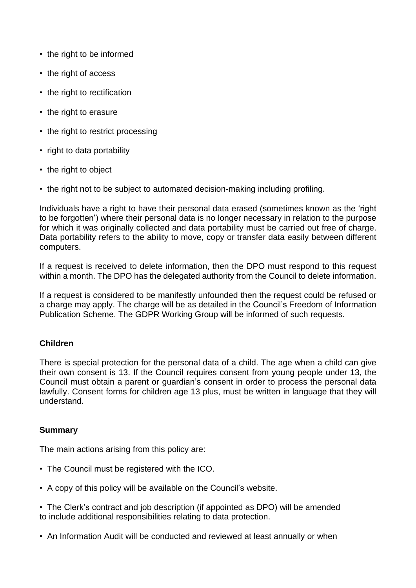- the right to be informed
- the right of access
- the right to rectification
- the right to erasure
- the right to restrict processing
- right to data portability
- the right to object
- the right not to be subject to automated decision-making including profiling.

Individuals have a right to have their personal data erased (sometimes known as the 'right to be forgotten') where their personal data is no longer necessary in relation to the purpose for which it was originally collected and data portability must be carried out free of charge. Data portability refers to the ability to move, copy or transfer data easily between different computers.

If a request is received to delete information, then the DPO must respond to this request within a month. The DPO has the delegated authority from the Council to delete information.

If a request is considered to be manifestly unfounded then the request could be refused or a charge may apply. The charge will be as detailed in the Council's Freedom of Information Publication Scheme. The GDPR Working Group will be informed of such requests.

## **Children**

There is special protection for the personal data of a child. The age when a child can give their own consent is 13. If the Council requires consent from young people under 13, the Council must obtain a parent or guardian's consent in order to process the personal data lawfully. Consent forms for children age 13 plus, must be written in language that they will understand.

## **Summary**

The main actions arising from this policy are:

- The Council must be registered with the ICO.
- A copy of this policy will be available on the Council's website.
- The Clerk's contract and job description (if appointed as DPO) will be amended to include additional responsibilities relating to data protection.
- An Information Audit will be conducted and reviewed at least annually or when